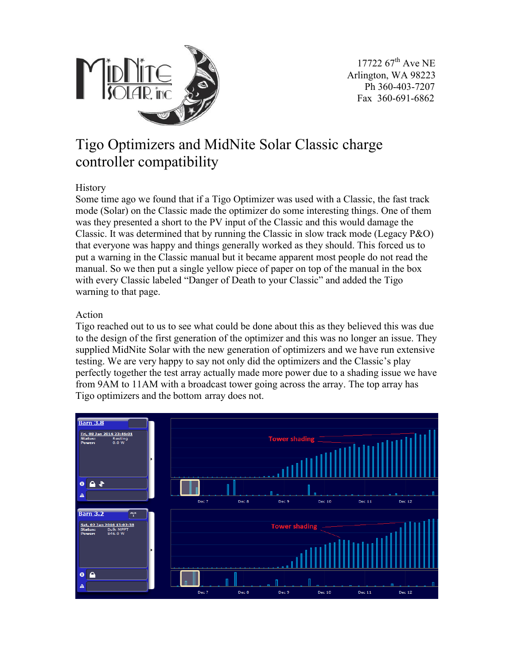

## Tigo Optimizers and MidNite Solar Classic charge controller compatibility

## **History**

Some time ago we found that if a Tigo Optimizer was used with a Classic, the fast track mode (Solar) on the Classic made the optimizer do some interesting things. One of them was they presented a short to the PV input of the Classic and this would damage the Classic. It was determined that by running the Classic in slow track mode (Legacy  $P&O$ ) that everyone was happy and things generally worked as they should. This forced us to put a warning in the Classic manual but it became apparent most people do not read the manual. So we then put a single yellow piece of paper on top of the manual in the box with every Classic labeled "Danger of Death to your Classic" and added the Tigo warning to that page.

## Action

Tigo reached out to us to see what could be done about this as they believed this was due to the design of the first generation of the optimizer and this was no longer an issue. They supplied MidNite Solar with the new generation of optimizers and we have run extensive testing. We are very happy to say not only did the optimizers and the Classic's play perfectly together the test array actually made more power due to a shading issue we have from 9AM to 11AM with a broadcast tower going across the array. The top array has Tigo optimizers and the bottom array does not.